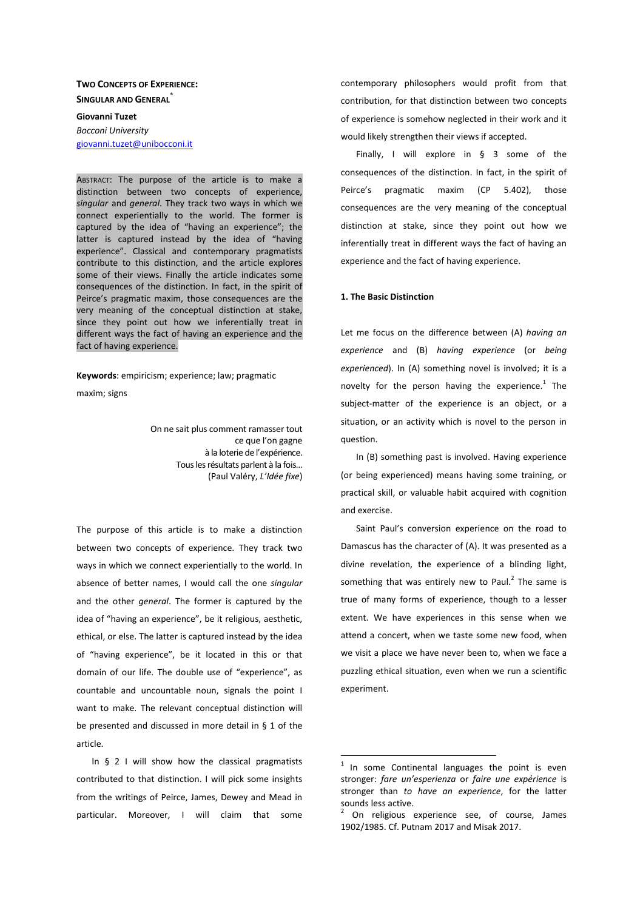# **TWO CONCEPTS OF EXPERIENCE: SINGULAR AND GENERAL**\*

**Giovanni Tuzet**  *Bocconi University*  giovanni.tuzet@unibocconi.it

ABSTRACT: The purpose of the article is to make a distinction between two concepts of experience, *singular* and *general*. They track two ways in which we connect experientially to the world. The former is captured by the idea of "having an experience"; the latter is captured instead by the idea of "having experience". Classical and contemporary pragmatists contribute to this distinction, and the article explores some of their views. Finally the article indicates some consequences of the distinction. In fact, in the spirit of Peirce's pragmatic maxim, those consequences are the very meaning of the conceptual distinction at stake, since they point out how we inferentially treat in different ways the fact of having an experience and the fact of having experience.

**Keywords**: empiricism; experience; law; pragmatic

maxim; signs

On ne sait plus comment ramasser tout ce que l'on gagne à la loterie de l'expérience. Tous les résultats parlent à la fois… (Paul Valéry, *L'Idée fixe*)

The purpose of this article is to make a distinction between two concepts of experience. They track two ways in which we connect experientially to the world. In absence of better names, I would call the one *singular* and the other *general*. The former is captured by the idea of "having an experience", be it religious, aesthetic, ethical, or else. The latter is captured instead by the idea of "having experience", be it located in this or that domain of our life. The double use of "experience", as countable and uncountable noun, signals the point I want to make. The relevant conceptual distinction will be presented and discussed in more detail in § 1 of the article.

In § 2 I will show how the classical pragmatists contributed to that distinction. I will pick some insights from the writings of Peirce, James, Dewey and Mead in particular. Moreover, I will claim that some

contemporary philosophers would profit from that contribution, for that distinction between two concepts of experience is somehow neglected in their work and it would likely strengthen their views if accepted.

Finally, I will explore in § 3 some of the consequences of the distinction. In fact, in the spirit of Peirce's pragmatic maxim (CP 5.402), those consequences are the very meaning of the conceptual distinction at stake, since they point out how we inferentially treat in different ways the fact of having an experience and the fact of having experience.

### **1. The Basic Distinction**

Let me focus on the difference between (A) *having an experience* and (B) *having experience* (or *being experienced*). In (A) something novel is involved; it is a novelty for the person having the experience.<sup>1</sup> The subject-matter of the experience is an object, or a situation, or an activity which is novel to the person in question.

In (B) something past is involved. Having experience (or being experienced) means having some training, or practical skill, or valuable habit acquired with cognition and exercise.

Saint Paul's conversion experience on the road to Damascus has the character of (A). It was presented as a divine revelation, the experience of a blinding light, something that was entirely new to Paul.<sup>2</sup> The same is true of many forms of experience, though to a lesser extent. We have experiences in this sense when we attend a concert, when we taste some new food, when we visit a place we have never been to, when we face a puzzling ethical situation, even when we run a scientific experiment.

<sup>1</sup> In some Continental languages the point is even stronger: *fare un'esperienza* or *faire une expérience* is stronger than *to have an experience*, for the latter sounds less active.

 $2$  On religious experience see, of course, James 1902/1985. Cf. Putnam 2017 and Misak 2017.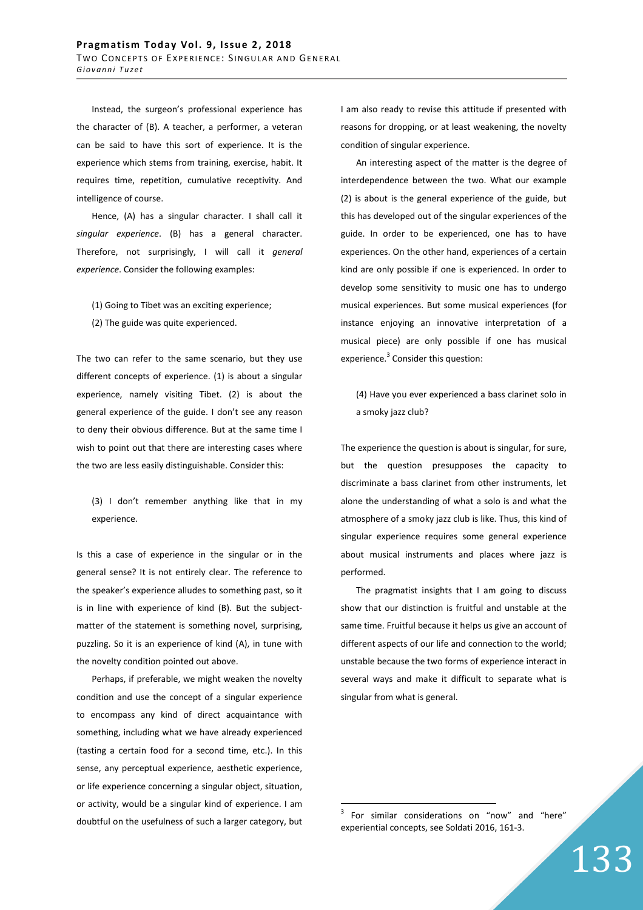Instead, the surgeon's professional experience has the character of (B). A teacher, a performer, a veteran can be said to have this sort of experience. It is the experience which stems from training, exercise, habit. It requires time, repetition, cumulative receptivity. And intelligence of course.

Hence, (A) has a singular character. I shall call it *singular experience*. (B) has a general character. Therefore, not surprisingly, I will call it *general experience*. Consider the following examples:

(1) Going to Tibet was an exciting experience; (2) The guide was quite experienced.

The two can refer to the same scenario, but they use different concepts of experience. (1) is about a singular experience, namely visiting Tibet. (2) is about the general experience of the guide. I don't see any reason to deny their obvious difference. But at the same time I wish to point out that there are interesting cases where the two are less easily distinguishable. Consider this:

(3) I don't remember anything like that in my experience.

Is this a case of experience in the singular or in the general sense? It is not entirely clear. The reference to the speaker's experience alludes to something past, so it is in line with experience of kind (B). But the subjectmatter of the statement is something novel, surprising, puzzling. So it is an experience of kind (A), in tune with the novelty condition pointed out above.

Perhaps, if preferable, we might weaken the novelty condition and use the concept of a singular experience to encompass any kind of direct acquaintance with something, including what we have already experienced (tasting a certain food for a second time, etc.). In this sense, any perceptual experience, aesthetic experience, or life experience concerning a singular object, situation, or activity, would be a singular kind of experience. I am doubtful on the usefulness of such a larger category, but I am also ready to revise this attitude if presented with reasons for dropping, or at least weakening, the novelty condition of singular experience.

An interesting aspect of the matter is the degree of interdependence between the two. What our example (2) is about is the general experience of the guide, but this has developed out of the singular experiences of the guide. In order to be experienced, one has to have experiences. On the other hand, experiences of a certain kind are only possible if one is experienced. In order to develop some sensitivity to music one has to undergo musical experiences. But some musical experiences (for instance enjoying an innovative interpretation of a musical piece) are only possible if one has musical experience.<sup>3</sup> Consider this question:

(4) Have you ever experienced a bass clarinet solo in a smoky jazz club?

The experience the question is about is singular, for sure, but the question presupposes the capacity to discriminate a bass clarinet from other instruments, let alone the understanding of what a solo is and what the atmosphere of a smoky jazz club is like. Thus, this kind of singular experience requires some general experience about musical instruments and places where jazz is performed.

The pragmatist insights that I am going to discuss show that our distinction is fruitful and unstable at the same time. Fruitful because it helps us give an account of different aspects of our life and connection to the world; unstable because the two forms of experience interact in several ways and make it difficult to separate what is singular from what is general.

3 For similar considerations on "now" and "here" experiential concepts, see Soldati 2016, 161-3.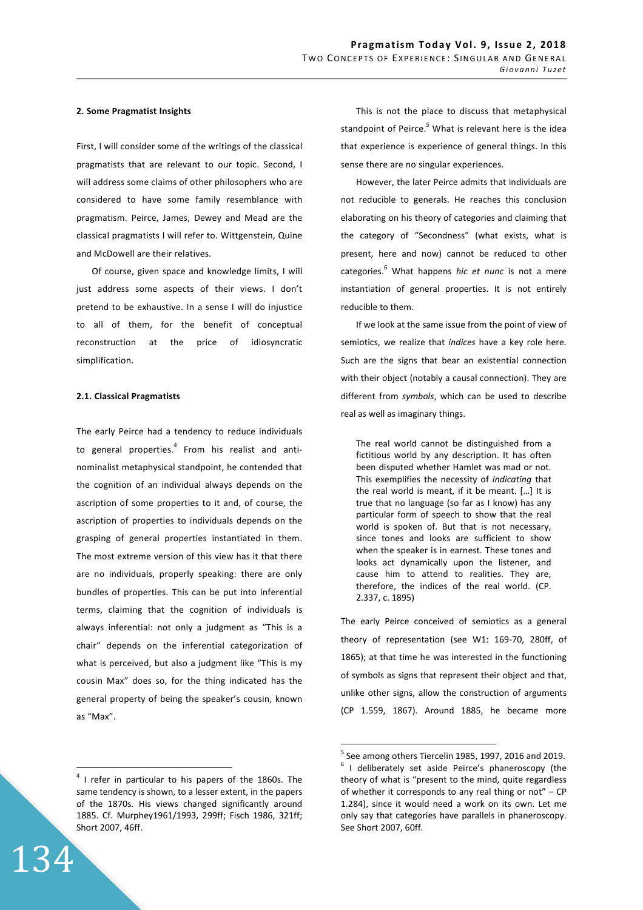## **2. Some Pragmatist Insights**

First, I will consider some of the writings of the classical pragmatists that are relevant to our topic. Second, I will address some claims of other philosophers who are considered to have some family resemblance with pragmatism. Peirce, James, Dewey and Mead are the classical pragmatists I will refer to. Wittgenstein, Quine and McDowell are their relatives.

Of course, given space and knowledge limits, I will just address some aspects of their views. I don't pretend to be exhaustive. In a sense I will do injustice to all of them, for the benefit of conceptual reconstruction at the price of idiosyncratic simplification.

### **2.1. Classical Pragmatists**

The early Peirce had a tendency to reduce individuals to general properties.<sup>4</sup> From his realist and antinominalist metaphysical standpoint, he contended that the cognition of an individual always depends on the ascription of some properties to it and, of course, the ascription of properties to individuals depends on the grasping of general properties instantiated in them. The most extreme version of this view has it that there are no individuals, properly speaking: there are only bundles of properties. This can be put into inferential terms, claiming that the cognition of individuals is always inferential: not only a judgment as "This is a chair" depends on the inferential categorization of what is perceived, but also a judgment like "This is my cousin Max" does so, for the thing indicated has the general property of being the speaker's cousin, known as "Max".

134

 $\overline{a}$ 

This is not the place to discuss that metaphysical standpoint of Peirce.<sup>5</sup> What is relevant here is the idea that experience is experience of general things. In this sense there are no singular experiences.

However, the later Peirce admits that individuals are not reducible to generals. He reaches this conclusion elaborating on his theory of categories and claiming that the category of "Secondness" (what exists, what is present, here and now) cannot be reduced to other categories.<sup>6</sup> What happens *hic et nunc* is not a mere instantiation of general properties. It is not entirely reducible to them.

If we look at the same issue from the point of view of semiotics, we realize that *indices* have a key role here. Such are the signs that bear an existential connection with their object (notably a causal connection). They are different from *symbols*, which can be used to describe real as well as imaginary things.

The real world cannot be distinguished from a fictitious world by any description. It has often been disputed whether Hamlet was mad or not. This exemplifies the necessity of *indicating* that the real world is meant, if it be meant. […] It is true that no language (so far as I know) has any particular form of speech to show that the real world is spoken of. But that is not necessary, since tones and looks are sufficient to show when the speaker is in earnest. These tones and looks act dynamically upon the listener, and cause him to attend to realities. They are, therefore, the indices of the real world. (CP. 2.337, c. 1895)

The early Peirce conceived of semiotics as a general theory of representation (see W1: 169-70, 280ff, of 1865); at that time he was interested in the functioning of symbols as signs that represent their object and that, unlike other signs, allow the construction of arguments (CP 1.559, 1867). Around 1885, he became more

 $4$  I refer in particular to his papers of the 1860s. The same tendency is shown, to a lesser extent, in the papers of the 1870s. His views changed significantly around 1885. Cf. Murphey1961/1993, 299ff; Fisch 1986, 321ff; Short 2007, 46ff.

 $<sup>5</sup>$  See among others Tiercelin 1985, 1997, 2016 and 2019.</sup> <sup>6</sup> I deliberately set aside Peirce's phaneroscopy (the theory of what is "present to the mind, quite regardless of whether it corresponds to any real thing or not" – CP 1.284), since it would need a work on its own. Let me only say that categories have parallels in phaneroscopy. See Short 2007, 60ff.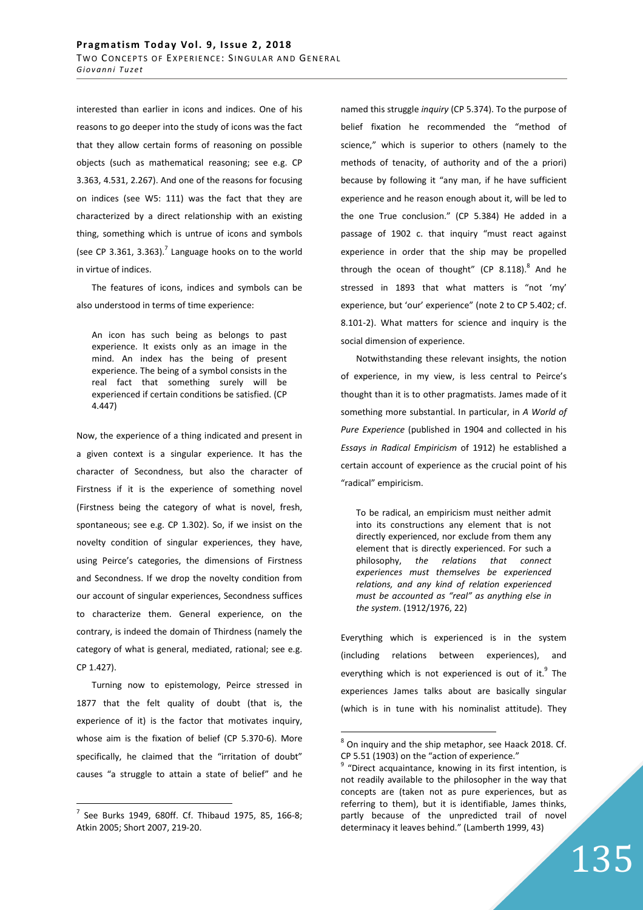interested than earlier in icons and indices. One of his reasons to go deeper into the study of icons was the fact that they allow certain forms of reasoning on possible objects (such as mathematical reasoning; see e.g. CP 3.363, 4.531, 2.267). And one of the reasons for focusing on indices (see W5: 111) was the fact that they are characterized by a direct relationship with an existing thing, something which is untrue of icons and symbols (see CP 3.361, 3.363). $^7$  Language hooks on to the world in virtue of indices.

The features of icons, indices and symbols can be also understood in terms of time experience:

An icon has such being as belongs to past experience. It exists only as an image in the mind. An index has the being of present experience. The being of a symbol consists in the real fact that something surely will be experienced if certain conditions be satisfied. (CP 4.447)

Now, the experience of a thing indicated and present in a given context is a singular experience. It has the character of Secondness, but also the character of Firstness if it is the experience of something novel (Firstness being the category of what is novel, fresh, spontaneous; see e.g. CP 1.302). So, if we insist on the novelty condition of singular experiences, they have, using Peirce's categories, the dimensions of Firstness and Secondness. If we drop the novelty condition from our account of singular experiences, Secondness suffices to characterize them. General experience, on the contrary, is indeed the domain of Thirdness (namely the category of what is general, mediated, rational; see e.g. CP 1.427).

Turning now to epistemology, Peirce stressed in 1877 that the felt quality of doubt (that is, the experience of it) is the factor that motivates inquiry, whose aim is the fixation of belief (CP 5.370-6). More specifically, he claimed that the "irritation of doubt" causes "a struggle to attain a state of belief" and he

 $\overline{a}$ 

named this struggle *inquiry* (CP 5.374). To the purpose of belief fixation he recommended the "method of science," which is superior to others (namely to the methods of tenacity, of authority and of the a priori) because by following it "any man, if he have sufficient experience and he reason enough about it, will be led to the one True conclusion." (CP 5.384) He added in a passage of 1902 c. that inquiry "must react against experience in order that the ship may be propelled through the ocean of thought" (CP  $8.118$ ).<sup>8</sup> And he stressed in 1893 that what matters is "not 'my' experience, but 'our' experience" (note 2 to CP 5.402; cf. 8.101-2). What matters for science and inquiry is the social dimension of experience.

Notwithstanding these relevant insights, the notion of experience, in my view, is less central to Peirce's thought than it is to other pragmatists. James made of it something more substantial. In particular, in *A World of Pure Experience* (published in 1904 and collected in his *Essays in Radical Empiricism* of 1912) he established a certain account of experience as the crucial point of his "radical" empiricism.

To be radical, an empiricism must neither admit into its constructions any element that is not directly experienced, nor exclude from them any element that is directly experienced. For such a philosophy, *the relations that connect experiences must themselves be experienced relations, and any kind of relation experienced must be accounted as "real" as anything else in the system*. (1912/1976, 22)

Everything which is experienced is in the system (including relations between experiences), and everything which is not experienced is out of it.<sup>9</sup> The experiences James talks about are basically singular (which is in tune with his nominalist attitude). They

 $7$  See Burks 1949, 680ff. Cf. Thibaud 1975, 85, 166-8; Atkin 2005; Short 2007, 219-20.

 $8$  On inquiry and the ship metaphor, see Haack 2018. Cf. CP 5.51 (1903) on the "action of experience."

<sup>&</sup>lt;sup>9</sup> "Direct acquaintance, knowing in its first intention, is not readily available to the philosopher in the way that concepts are (taken not as pure experiences, but as referring to them), but it is identifiable, James thinks, partly because of the unpredicted trail of novel determinacy it leaves behind." (Lamberth 1999, 43)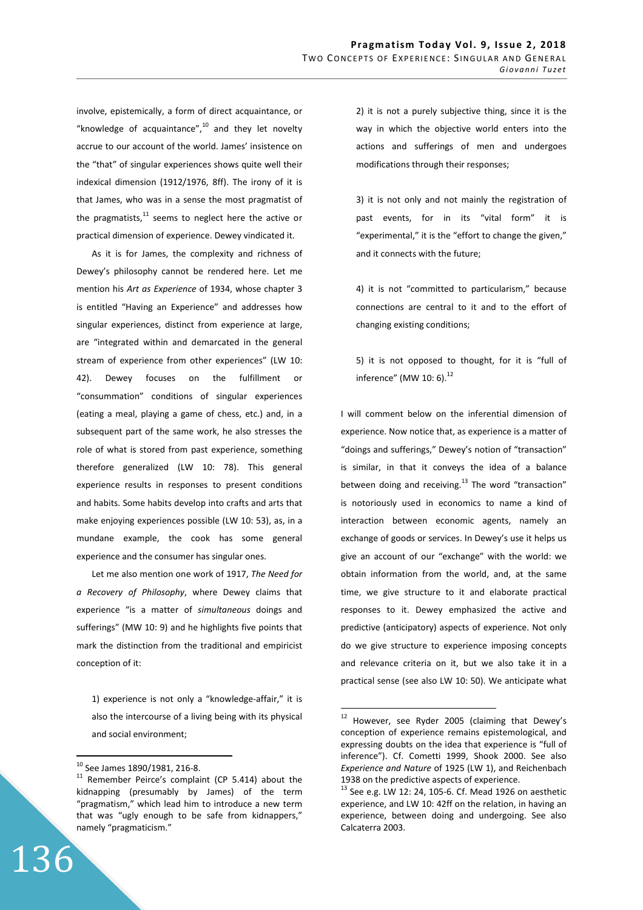involve, epistemically, a form of direct acquaintance, or "knowledge of acquaintance", $10$  and they let novelty accrue to our account of the world. James' insistence on the "that" of singular experiences shows quite well their indexical dimension (1912/1976, 8ff). The irony of it is that James, who was in a sense the most pragmatist of the pragmatists, $11$  seems to neglect here the active or practical dimension of experience. Dewey vindicated it.

As it is for James, the complexity and richness of Dewey's philosophy cannot be rendered here. Let me mention his *Art as Experience* of 1934, whose chapter 3 is entitled "Having an Experience" and addresses how singular experiences, distinct from experience at large, are "integrated within and demarcated in the general stream of experience from other experiences" (LW 10: 42). Dewey focuses on the fulfillment or "consummation" conditions of singular experiences (eating a meal, playing a game of chess, etc.) and, in a subsequent part of the same work, he also stresses the role of what is stored from past experience, something therefore generalized (LW 10: 78). This general experience results in responses to present conditions and habits. Some habits develop into crafts and arts that make enjoying experiences possible (LW 10: 53), as, in a mundane example, the cook has some general experience and the consumer has singular ones.

Let me also mention one work of 1917, *The Need for a Recovery of Philosophy*, where Dewey claims that experience "is a matter of *simultaneous* doings and sufferings" (MW 10: 9) and he highlights five points that mark the distinction from the traditional and empiricist conception of it:

1) experience is not only a "knowledge-affair," it is also the intercourse of a living being with its physical and social environment;

136

 $\overline{a}$ 

2) it is not a purely subjective thing, since it is the way in which the objective world enters into the actions and sufferings of men and undergoes modifications through their responses;

3) it is not only and not mainly the registration of past events, for in its "vital form" it is "experimental," it is the "effort to change the given," and it connects with the future;

4) it is not "committed to particularism," because connections are central to it and to the effort of changing existing conditions;

5) it is not opposed to thought, for it is "full of inference" (MW 10: 6). $^{12}$ 

I will comment below on the inferential dimension of experience. Now notice that, as experience is a matter of "doings and sufferings," Dewey's notion of "transaction" is similar, in that it conveys the idea of a balance between doing and receiving. $^{13}$  The word "transaction" is notoriously used in economics to name a kind of interaction between economic agents, namely an exchange of goods or services. In Dewey's use it helps us give an account of our "exchange" with the world: we obtain information from the world, and, at the same time, we give structure to it and elaborate practical responses to it. Dewey emphasized the active and predictive (anticipatory) aspects of experience. Not only do we give structure to experience imposing concepts and relevance criteria on it, but we also take it in a practical sense (see also LW 10: 50). We anticipate what

<sup>10</sup> See James 1890/1981, 216-8.

<sup>&</sup>lt;sup>11</sup> Remember Peirce's complaint (CP 5.414) about the kidnapping (presumably by James) of the term "pragmatism," which lead him to introduce a new term that was "ugly enough to be safe from kidnappers," namely "pragmaticism."

<sup>&</sup>lt;sup>12</sup> However, see Ryder 2005 (claiming that Dewey's conception of experience remains epistemological, and expressing doubts on the idea that experience is "full of inference"). Cf. Cometti 1999, Shook 2000. See also *Experience and Nature* of 1925 (LW 1), and Reichenbach 1938 on the predictive aspects of experience.

 $^{13}$  See e.g. LW 12: 24, 105-6. Cf. Mead 1926 on aesthetic experience, and LW 10: 42ff on the relation, in having an experience, between doing and undergoing. See also Calcaterra 2003.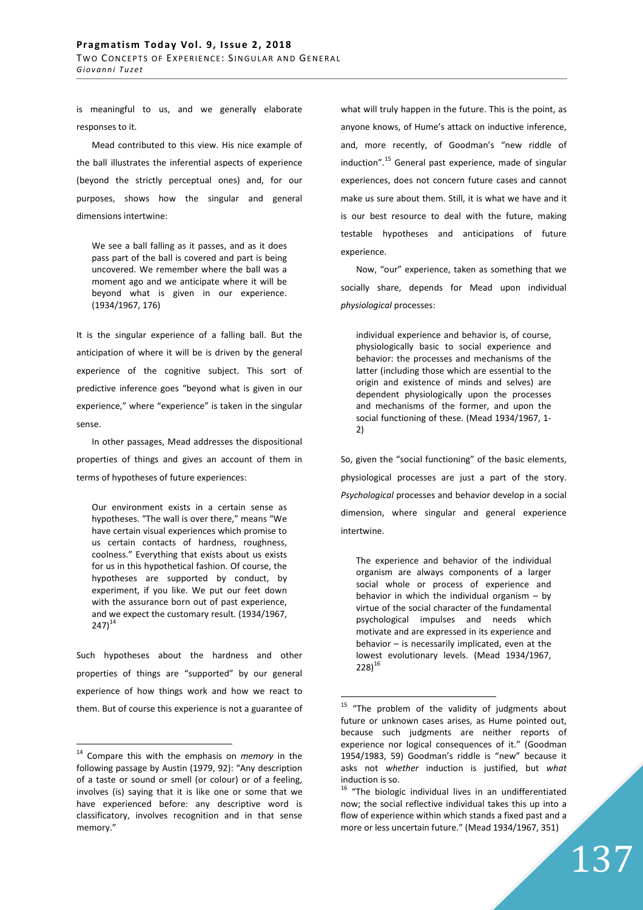is meaningful to us, and we generally elaborate responses to it.

Mead contributed to this view. His nice example of the ball illustrates the inferential aspects of experience (beyond the strictly perceptual ones) and, for our purposes, shows how the singular and general dimensions intertwine:

We see a ball falling as it passes, and as it does pass part of the ball is covered and part is being uncovered. We remember where the ball was a moment ago and we anticipate where it will be beyond what is given in our experience. (1934/1967, 176)

It is the singular experience of a falling ball. But the anticipation of where it will be is driven by the general experience of the cognitive subject. This sort of predictive inference goes "beyond what is given in our experience," where "experience" is taken in the singular sense.

In other passages, Mead addresses the dispositional properties of things and gives an account of them in terms of hypotheses of future experiences:

Our environment exists in a certain sense as hypotheses. "The wall is over there," means "We have certain visual experiences which promise to us certain contacts of hardness, roughness, coolness." Everything that exists about us exists for us in this hypothetical fashion. Of course, the hypotheses are supported by conduct, by experiment, if you like. We put our feet down with the assurance born out of past experience, and we expect the customary result. (1934/1967,  $247)^{14}$ 

Such hypotheses about the hardness and other properties of things are "supported" by our general experience of how things work and how we react to them. But of course this experience is not a guarantee of

 $\overline{a}$ 

what will truly happen in the future. This is the point, as anyone knows, of Hume's attack on inductive inference, and, more recently, of Goodman's "new riddle of induction".<sup>15</sup> General past experience, made of singular experiences, does not concern future cases and cannot make us sure about them. Still, it is what we have and it is our best resource to deal with the future, making testable hypotheses and anticipations of future experience.

Now, "our" experience, taken as something that we socially share, depends for Mead upon individual *physiological* processes:

individual experience and behavior is, of course, physiologically basic to social experience and behavior: the processes and mechanisms of the latter (including those which are essential to the origin and existence of minds and selves) are dependent physiologically upon the processes and mechanisms of the former, and upon the social functioning of these. (Mead 1934/1967, 1- 2)

So, given the "social functioning" of the basic elements, physiological processes are just a part of the story. *Psychological* processes and behavior develop in a social dimension, where singular and general experience intertwine.

The experience and behavior of the individual organism are always components of a larger social whole or process of experience and behavior in which the individual organism  $-$  by virtue of the social character of the fundamental psychological impulses and needs which motivate and are expressed in its experience and behavior – is necessarily implicated, even at the lowest evolutionary levels. (Mead 1934/1967,  $228)^{16}$ 

<sup>14</sup> Compare this with the emphasis on *memory* in the following passage by Austin (1979, 92): "Any description of a taste or sound or smell (or colour) or of a feeling, involves (is) saying that it is like one or some that we have experienced before: any descriptive word is classificatory, involves recognition and in that sense memory."

<sup>&</sup>lt;sup>15</sup> "The problem of the validity of judgments about future or unknown cases arises, as Hume pointed out, because such judgments are neither reports of experience nor logical consequences of it." (Goodman 1954/1983, 59) Goodman's riddle is "new" because it asks not *whether* induction is justified, but *what* induction is so.

 $16$  "The biologic individual lives in an undifferentiated now; the social reflective individual takes this up into a flow of experience within which stands a fixed past and a more or less uncertain future." (Mead 1934/1967, 351)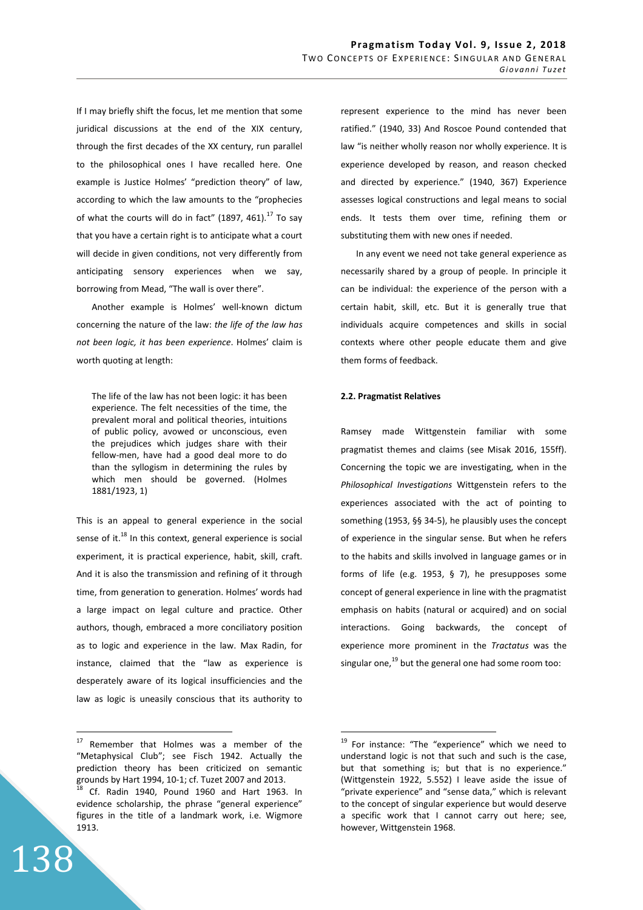If I may briefly shift the focus, let me mention that some juridical discussions at the end of the XIX century, through the first decades of the XX century, run parallel to the philosophical ones I have recalled here. One example is Justice Holmes' "prediction theory" of law, according to which the law amounts to the "prophecies of what the courts will do in fact" (1897, 461). $^{17}$  To say that you have a certain right is to anticipate what a court will decide in given conditions, not very differently from anticipating sensory experiences when we say, borrowing from Mead, "The wall is over there".

Another example is Holmes' well-known dictum concerning the nature of the law: *the life of the law has not been logic, it has been experience*. Holmes' claim is worth quoting at length:

The life of the law has not been logic: it has been experience. The felt necessities of the time, the prevalent moral and political theories, intuitions of public policy, avowed or unconscious, even the prejudices which judges share with their fellow-men, have had a good deal more to do than the syllogism in determining the rules by which men should be governed. (Holmes 1881/1923, 1)

This is an appeal to general experience in the social sense of it.<sup>18</sup> In this context, general experience is social experiment, it is practical experience, habit, skill, craft. And it is also the transmission and refining of it through time, from generation to generation. Holmes' words had a large impact on legal culture and practice. Other authors, though, embraced a more conciliatory position as to logic and experience in the law. Max Radin, for instance, claimed that the "law as experience is desperately aware of its logical insufficiencies and the law as logic is uneasily conscious that its authority to

138

 $\overline{a}$ 



In any event we need not take general experience as necessarily shared by a group of people. In principle it can be individual: the experience of the person with a certain habit, skill, etc. But it is generally true that individuals acquire competences and skills in social contexts where other people educate them and give them forms of feedback.

#### **2.2. Pragmatist Relatives**

 $\overline{a}$ 

Ramsey made Wittgenstein familiar with some pragmatist themes and claims (see Misak 2016, 155ff). Concerning the topic we are investigating, when in the *Philosophical Investigations* Wittgenstein refers to the experiences associated with the act of pointing to something (1953, §§ 34-5), he plausibly uses the concept of experience in the singular sense. But when he refers to the habits and skills involved in language games or in forms of life (e.g. 1953, § 7), he presupposes some concept of general experience in line with the pragmatist emphasis on habits (natural or acquired) and on social interactions. Going backwards, the concept of experience more prominent in the *Tractatus* was the singular one, $^{19}$  but the general one had some room too:

<sup>&</sup>lt;sup>17</sup> Remember that Holmes was a member of the "Metaphysical Club"; see Fisch 1942. Actually the prediction theory has been criticized on semantic grounds by Hart 1994, 10-1; cf. Tuzet 2007 and 2013.

<sup>18</sup> Cf. Radin 1940, Pound 1960 and Hart 1963. In evidence scholarship, the phrase "general experience" figures in the title of a landmark work, i.e. Wigmore 1913.

<sup>&</sup>lt;sup>19</sup> For instance: "The "experience" which we need to understand logic is not that such and such is the case, but that something is; but that is no experience." (Wittgenstein 1922, 5.552) I leave aside the issue of "private experience" and "sense data," which is relevant to the concept of singular experience but would deserve a specific work that I cannot carry out here; see, however, Wittgenstein 1968.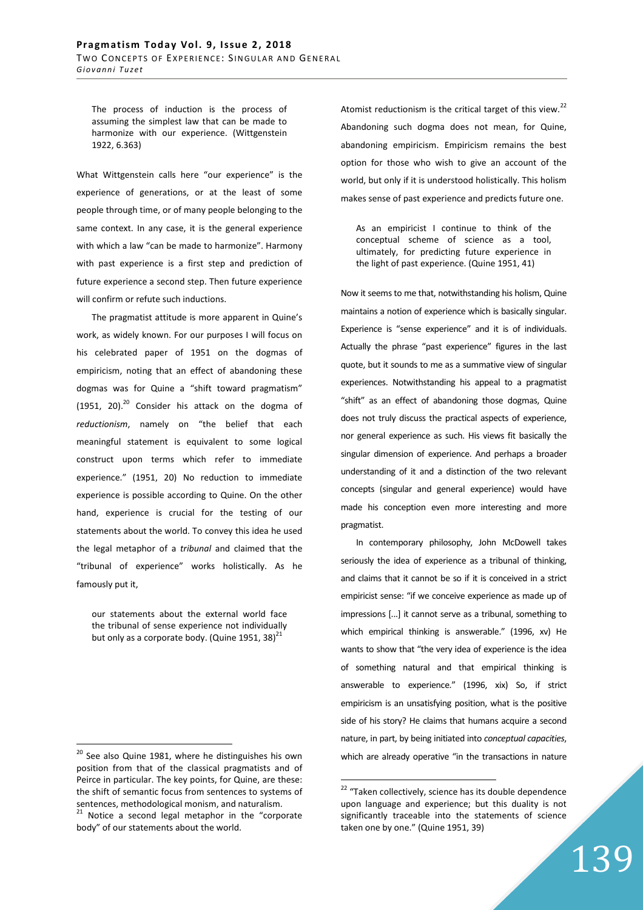The process of induction is the process of assuming the simplest law that can be made to harmonize with our experience. (Wittgenstein 1922, 6.363)

What Wittgenstein calls here "our experience" is the experience of generations, or at the least of some people through time, or of many people belonging to the same context. In any case, it is the general experience with which a law "can be made to harmonize". Harmony with past experience is a first step and prediction of future experience a second step. Then future experience will confirm or refute such inductions.

The pragmatist attitude is more apparent in Quine's work, as widely known. For our purposes I will focus on his celebrated paper of 1951 on the dogmas of empiricism, noting that an effect of abandoning these dogmas was for Quine a "shift toward pragmatism" (1951, 20). $^{20}$  Consider his attack on the dogma of *reductionism*, namely on "the belief that each meaningful statement is equivalent to some logical construct upon terms which refer to immediate experience." (1951, 20) No reduction to immediate experience is possible according to Quine. On the other hand, experience is crucial for the testing of our statements about the world. To convey this idea he used the legal metaphor of a *tribunal* and claimed that the "tribunal of experience" works holistically. As he famously put it,

our statements about the external world face the tribunal of sense experience not individually but only as a corporate body. (Quine 1951, 38) $^{21}$ 

 $\overline{a}$ 

Atomist reductionism is the critical target of this view. $^{22}$ Abandoning such dogma does not mean, for Quine, abandoning empiricism. Empiricism remains the best option for those who wish to give an account of the world, but only if it is understood holistically. This holism makes sense of past experience and predicts future one.

As an empiricist I continue to think of the conceptual scheme of science as a tool, ultimately, for predicting future experience in the light of past experience. (Quine 1951, 41)

Now it seems to me that, notwithstanding his holism, Quine maintains a notion of experience which is basically singular. Experience is "sense experience" and it is of individuals. Actually the phrase "past experience" figures in the last quote, but it sounds to me as a summative view of singular experiences. Notwithstanding his appeal to a pragmatist "shift" as an effect of abandoning those dogmas, Quine does not truly discuss the practical aspects of experience, nor general experience as such. His views fit basically the singular dimension of experience. And perhaps a broader understanding of it and a distinction of the two relevant concepts (singular and general experience) would have made his conception even more interesting and more pragmatist.

In contemporary philosophy, John McDowell takes seriously the idea of experience as a tribunal of thinking, and claims that it cannot be so if it is conceived in a strict empiricist sense: "if we conceive experience as made up of impressions [...] it cannot serve as a tribunal, something to which empirical thinking is answerable." (1996, xv) He wants to show that "the very idea of experience is the idea of something natural and that empirical thinking is answerable to experience." (1996, xix) So, if strict empiricism is an unsatisfying position, what is the positive side of his story? He claims that humans acquire a second nature, in part, by being initiated into *conceptual capacities*, which are already operative "in the transactions in nature

 $20$  See also Quine 1981, where he distinguishes his own position from that of the classical pragmatists and of Peirce in particular. The key points, for Quine, are these: the shift of semantic focus from sentences to systems of sentences, methodological monism, and naturalism. <sup>21</sup> Notice a second legal metaphor in the "corporate body" of our statements about the world.

<sup>&</sup>lt;sup>22</sup> "Taken collectively, science has its double dependence upon language and experience; but this duality is not significantly traceable into the statements of science taken one by one." (Quine 1951, 39)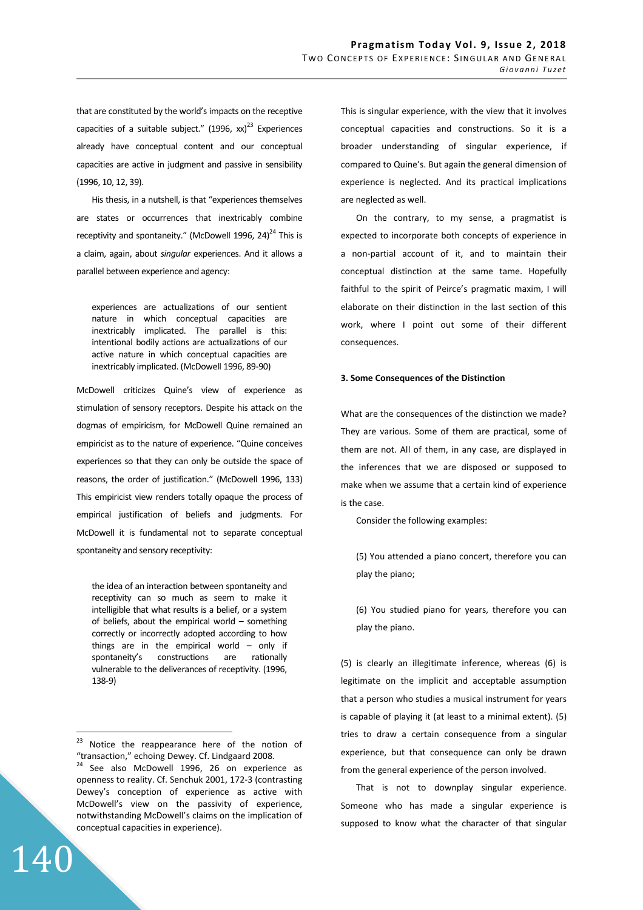that are constituted by the world's impacts on the receptive capacities of a suitable subject."  $(1996, xx)^{23}$  Experiences already have conceptual content and our conceptual capacities are active in judgment and passive in sensibility (1996, 10, 12, 39).

His thesis, in a nutshell, is that "experiences themselves are states or occurrences that inextricably combine receptivity and spontaneity." (McDowell 1996, 24)<sup>24</sup> This is a claim, again, about *singular* experiences. And it allows a parallel between experience and agency:

experiences are actualizations of our sentient nature in which conceptual capacities are inextricably implicated. The parallel is this: intentional bodily actions are actualizations of our active nature in which conceptual capacities are inextricably implicated. (McDowell 1996, 89-90)

McDowell criticizes Quine's view of experience as stimulation of sensory receptors. Despite his attack on the dogmas of empiricism, for McDowell Quine remained an empiricist as to the nature of experience. "Quine conceives experiences so that they can only be outside the space of reasons, the order of justification." (McDowell 1996, 133) This empiricist view renders totally opaque the process of empirical justification of beliefs and judgments. For McDowell it is fundamental not to separate conceptual spontaneity and sensory receptivity:

the idea of an interaction between spontaneity and receptivity can so much as seem to make it intelligible that what results is a belief, or a system of beliefs, about the empirical world – something correctly or incorrectly adopted according to how things are in the empirical world  $-$  only if spontaneity's constructions are rationally vulnerable to the deliverances of receptivity. (1996, 138-9)

140

This is singular experience, with the view that it involves conceptual capacities and constructions. So it is a broader understanding of singular experience, if compared to Quine's. But again the general dimension of experience is neglected. And its practical implications are neglected as well.

On the contrary, to my sense, a pragmatist is expected to incorporate both concepts of experience in a non-partial account of it, and to maintain their conceptual distinction at the same tame. Hopefully faithful to the spirit of Peirce's pragmatic maxim, I will elaborate on their distinction in the last section of this work, where I point out some of their different consequences.

### **3. Some Consequences of the Distinction**

What are the consequences of the distinction we made? They are various. Some of them are practical, some of them are not. All of them, in any case, are displayed in the inferences that we are disposed or supposed to make when we assume that a certain kind of experience is the case.

Consider the following examples:

(5) You attended a piano concert, therefore you can play the piano;

(6) You studied piano for years, therefore you can play the piano.

(5) is clearly an illegitimate inference, whereas (6) is legitimate on the implicit and acceptable assumption that a person who studies a musical instrument for years is capable of playing it (at least to a minimal extent). (5) tries to draw a certain consequence from a singular experience, but that consequence can only be drawn from the general experience of the person involved.

That is not to downplay singular experience. Someone who has made a singular experience is supposed to know what the character of that singular

 $23$ Notice the reappearance here of the notion of "transaction," echoing Dewey. Cf. Lindgaard 2008.  $24$  See also McDowell 1996, 26 on experience as openness to reality. Cf. Senchuk 2001, 172-3 (contrasting Dewey's conception of experience as active with McDowell's view on the passivity of experience, notwithstanding McDowell's claims on the implication of conceptual capacities in experience).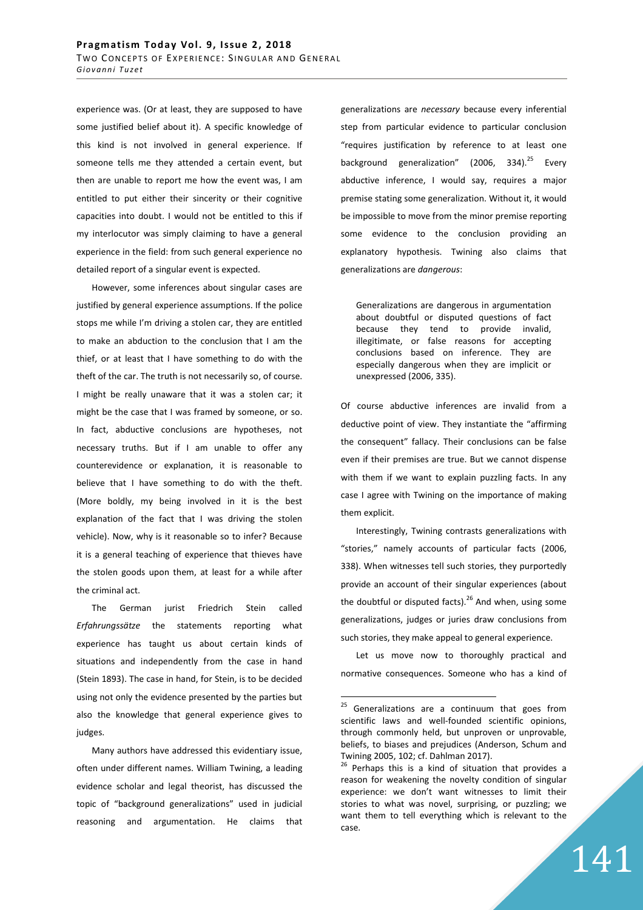experience was. (Or at least, they are supposed to have some justified belief about it). A specific knowledge of this kind is not involved in general experience. If someone tells me they attended a certain event, but then are unable to report me how the event was, I am entitled to put either their sincerity or their cognitive capacities into doubt. I would not be entitled to this if my interlocutor was simply claiming to have a general experience in the field: from such general experience no detailed report of a singular event is expected.

However, some inferences about singular cases are justified by general experience assumptions. If the police stops me while I'm driving a stolen car, they are entitled to make an abduction to the conclusion that I am the thief, or at least that I have something to do with the theft of the car. The truth is not necessarily so, of course. I might be really unaware that it was a stolen car; it might be the case that I was framed by someone, or so. In fact, abductive conclusions are hypotheses, not necessary truths. But if I am unable to offer any counterevidence or explanation, it is reasonable to believe that I have something to do with the theft. (More boldly, my being involved in it is the best explanation of the fact that I was driving the stolen vehicle). Now, why is it reasonable so to infer? Because it is a general teaching of experience that thieves have the stolen goods upon them, at least for a while after the criminal act.

The German jurist Friedrich Stein called *Erfahrungssätze* the statements reporting what experience has taught us about certain kinds of situations and independently from the case in hand (Stein 1893). The case in hand, for Stein, is to be decided using not only the evidence presented by the parties but also the knowledge that general experience gives to judges.

Many authors have addressed this evidentiary issue, often under different names. William Twining, a leading evidence scholar and legal theorist, has discussed the topic of "background generalizations" used in judicial reasoning and argumentation. He claims that generalizations are *necessary* because every inferential step from particular evidence to particular conclusion "requires justification by reference to at least one background generalization" (2006, 334).<sup>25</sup> Every abductive inference, I would say, requires a major premise stating some generalization. Without it, it would be impossible to move from the minor premise reporting some evidence to the conclusion providing an explanatory hypothesis. Twining also claims that generalizations are *dangerous*:

Generalizations are dangerous in argumentation about doubtful or disputed questions of fact because they tend to provide invalid, illegitimate, or false reasons for accepting conclusions based on inference. They are especially dangerous when they are implicit or unexpressed (2006, 335).

Of course abductive inferences are invalid from a deductive point of view. They instantiate the "affirming the consequent" fallacy. Their conclusions can be false even if their premises are true. But we cannot dispense with them if we want to explain puzzling facts. In any case I agree with Twining on the importance of making them explicit.

Interestingly, Twining contrasts generalizations with "stories," namely accounts of particular facts (2006, 338). When witnesses tell such stories, they purportedly provide an account of their singular experiences (about the doubtful or disputed facts).<sup>26</sup> And when, using some generalizations, judges or juries draw conclusions from such stories, they make appeal to general experience.

Let us move now to thoroughly practical and normative consequences. Someone who has a kind of

 $25\,$ Generalizations are a continuum that goes from scientific laws and well-founded scientific opinions, through commonly held, but unproven or unprovable, beliefs, to biases and prejudices (Anderson, Schum and Twining 2005, 102; cf. Dahlman 2017).

<sup>&</sup>lt;sup>26</sup> Perhaps this is a kind of situation that provides a reason for weakening the novelty condition of singular experience: we don't want witnesses to limit their stories to what was novel, surprising, or puzzling; we want them to tell everything which is relevant to the case.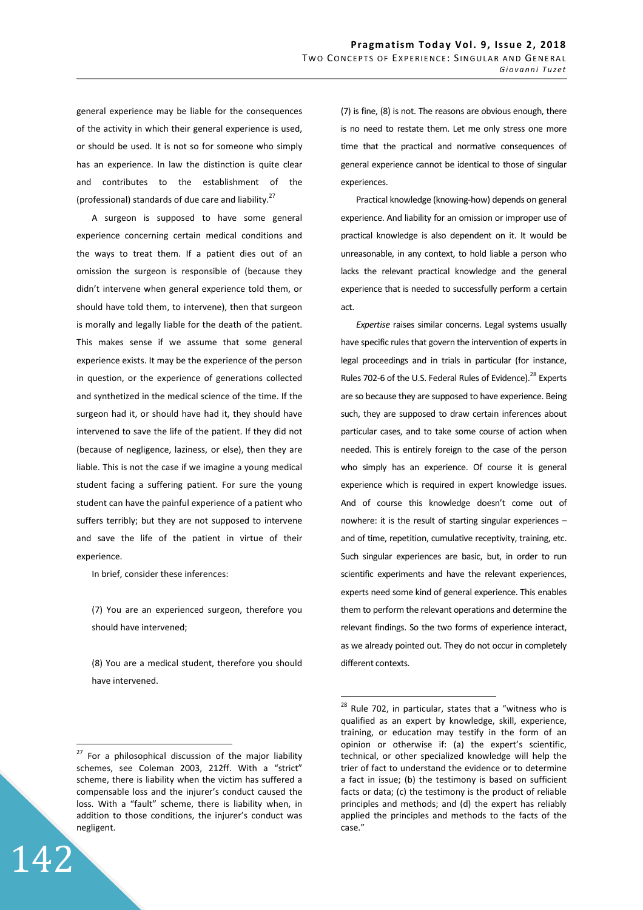general experience may be liable for the consequences of the activity in which their general experience is used, or should be used. It is not so for someone who simply has an experience. In law the distinction is quite clear and contributes to the establishment of the (professional) standards of due care and liability.<sup>27</sup>

A surgeon is supposed to have some general experience concerning certain medical conditions and the ways to treat them. If a patient dies out of an omission the surgeon is responsible of (because they didn't intervene when general experience told them, or should have told them, to intervene), then that surgeon is morally and legally liable for the death of the patient. This makes sense if we assume that some general experience exists. It may be the experience of the person in question, or the experience of generations collected and synthetized in the medical science of the time. If the surgeon had it, or should have had it, they should have intervened to save the life of the patient. If they did not (because of negligence, laziness, or else), then they are liable. This is not the case if we imagine a young medical student facing a suffering patient. For sure the young student can have the painful experience of a patient who suffers terribly; but they are not supposed to intervene and save the life of the patient in virtue of their experience.

In brief, consider these inferences:

(7) You are an experienced surgeon, therefore you should have intervened;

(8) You are a medical student, therefore you should have intervened.

142

 $\overline{a}$ 

(7) is fine, (8) is not. The reasons are obvious enough, there is no need to restate them. Let me only stress one more time that the practical and normative consequences of general experience cannot be identical to those of singular experiences.

Practical knowledge (knowing-how) depends on general experience. And liability for an omission or improper use of practical knowledge is also dependent on it. It would be unreasonable, in any context, to hold liable a person who lacks the relevant practical knowledge and the general experience that is needed to successfully perform a certain act.

*Expertise* raises similar concerns. Legal systems usually have specific rules that govern the intervention of experts in legal proceedings and in trials in particular (for instance, Rules 702-6 of the U.S. Federal Rules of Evidence).<sup>28</sup> Experts are so because they are supposed to have experience. Being such, they are supposed to draw certain inferences about particular cases, and to take some course of action when needed. This is entirely foreign to the case of the person who simply has an experience. Of course it is general experience which is required in expert knowledge issues. And of course this knowledge doesn't come out of nowhere: it is the result of starting singular experiences – and of time, repetition, cumulative receptivity, training, etc. Such singular experiences are basic, but, in order to run scientific experiments and have the relevant experiences, experts need some kind of general experience. This enables them to perform the relevant operations and determine the relevant findings. So the two forms of experience interact, as we already pointed out. They do not occur in completely different contexts.

 $27$  For a philosophical discussion of the major liability schemes, see Coleman 2003, 212ff. With a "strict" scheme, there is liability when the victim has suffered a compensable loss and the injurer's conduct caused the loss. With a "fault" scheme, there is liability when, in addition to those conditions, the injurer's conduct was negligent.

 $^{28}$  Rule 702, in particular, states that a "witness who is qualified as an expert by knowledge, skill, experience, training, or education may testify in the form of an opinion or otherwise if: (a) the expert's scientific, technical, or other specialized knowledge will help the trier of fact to understand the evidence or to determine a fact in issue; (b) the testimony is based on sufficient facts or data; (c) the testimony is the product of reliable principles and methods; and (d) the expert has reliably applied the principles and methods to the facts of the case."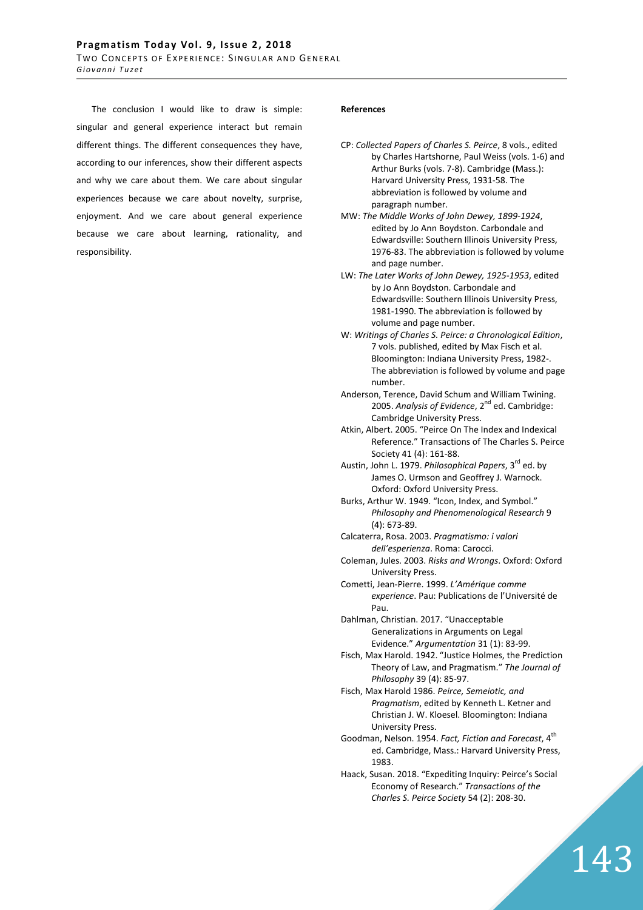The conclusion I would like to draw is simple: singular and general experience interact but remain different things. The different consequences they have, according to our inferences, show their different aspects and why we care about them. We care about singular experiences because we care about novelty, surprise, enjoyment. And we care about general experience because we care about learning, rationality, and responsibility.

### **References**

- MW: *The Middle Works of John Dewey, 1899-1924*, edited by Jo Ann Boydston. Carbondale and Edwardsville: Southern Illinois University Press, 1976-83. The abbreviation is followed by volume and page number.
- LW: *The Later Works of John Dewey, 1925-1953*, edited by Jo Ann Boydston. Carbondale and Edwardsville: Southern Illinois University Press, 1981-1990. The abbreviation is followed by volume and page number.
- W: *Writings of Charles S. Peirce: a Chronological Edition*, 7 vols. published, edited by Max Fisch et al. Bloomington: Indiana University Press, 1982-. The abbreviation is followed by volume and page number.
- Anderson, Terence, David Schum and William Twining. 2005. Analysis of Evidence, 2<sup>nd</sup> ed. Cambridge: Cambridge University Press.
- Atkin, Albert. 2005. "Peirce On The Index and Indexical Reference." Transactions of The Charles S. Peirce Society 41 (4): 161-88.
- Austin, John L. 1979. *Philosophical Papers*, 3rd ed. by James O. Urmson and Geoffrey J. Warnock. Oxford: Oxford University Press.
- Burks, Arthur W. 1949. "Icon, Index, and Symbol." *Philosophy and Phenomenological Research* 9 (4): 673-89.
- Calcaterra, Rosa. 2003. *Pragmatismo: i valori dell'esperienza*. Roma: Carocci.
- Coleman, Jules. 2003. *Risks and Wrongs*. Oxford: Oxford University Press.
- Cometti, Jean-Pierre. 1999. *L'Amérique comme experience*. Pau: Publications de l'Université de Pau.
- Dahlman, Christian. 2017. "Unacceptable Generalizations in Arguments on Legal Evidence." *Argumentation* 31 (1): 83-99.
- Fisch, Max Harold. 1942. "Justice Holmes, the Prediction Theory of Law, and Pragmatism." *The Journal of Philosophy* 39 (4): 85-97.
- Fisch, Max Harold 1986. *Peirce, Semeiotic, and Pragmatism*, edited by Kenneth L. Ketner and Christian J. W. Kloesel. Bloomington: Indiana University Press.
- Goodman, Nelson. 1954. *Fact, Fiction and Forecast*, 4th ed. Cambridge, Mass.: Harvard University Press, 1983.
- Haack, Susan. 2018. "Expediting Inquiry: Peirce's Social Economy of Research." *Transactions of the Charles S. Peirce Society* 54 (2): 208-30.

143

CP: *Collected Papers of Charles S. Peirce*, 8 vols., edited by Charles Hartshorne, Paul Weiss (vols. 1-6) and Arthur Burks (vols. 7-8). Cambridge (Mass.): Harvard University Press, 1931-58. The abbreviation is followed by volume and paragraph number.